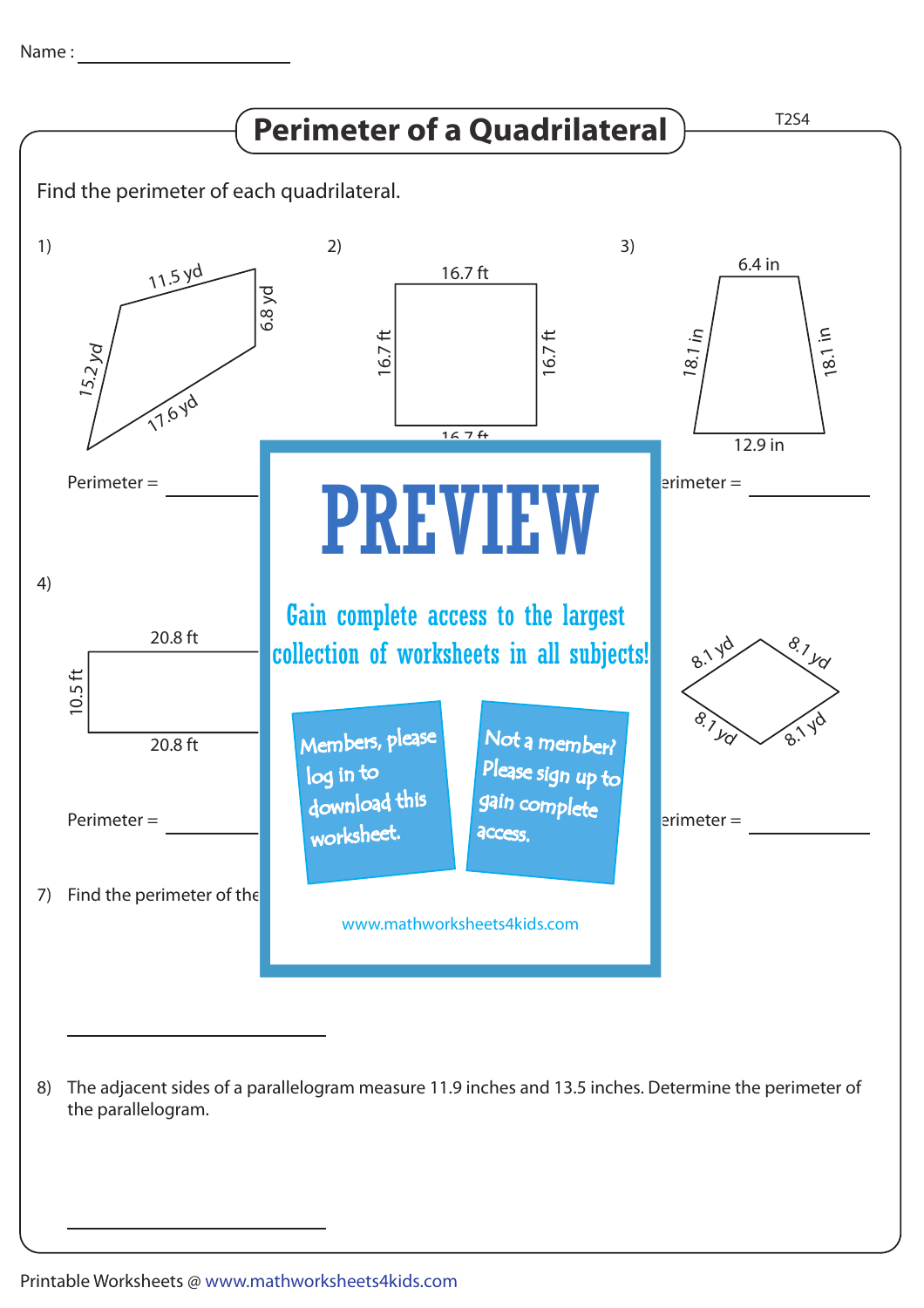

The adjacent sides of a parallelogram measure 11.9 inches and 13.5 inches. Determine the perimeter of 8) the parallelogram.